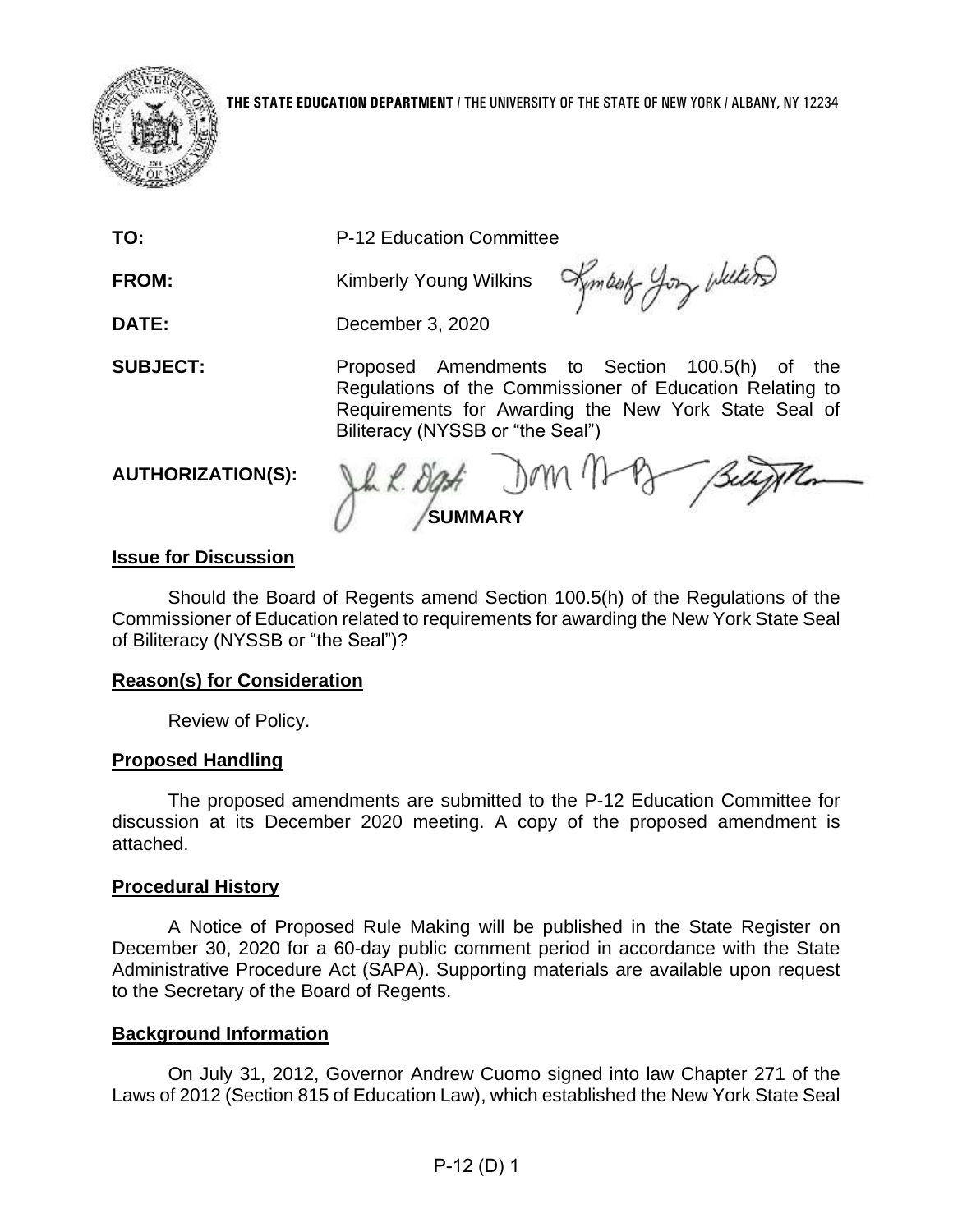

**TO:** P-12 Education Committee

**FROM: Kimberly Young Wilkins** 

Kymbot you whiters

**DATE:** December 3, 2020

 Regulations of the Commissioner of Education Relating to Requirements for Awarding the New York State Seal of **SUBJECT:** Proposed Amendments to Section 100.5(h) of the Biliteracy (NYSSB or "the Seal")

## **AUTHORIZATION(S):**

 $Jww$ **SUMMARY** 

# **Issue for Discussion**

 Commissioner of Education related to requirements for awarding the New York State Seal Should the Board of Regents amend Section 100.5(h) of the Regulations of the of Biliteracy (NYSSB or "the Seal")?

## **Reason(s) for Consideration**

Review of Policy.

## **Proposed Handling**

 The proposed amendments are submitted to the P-12 Education Committee for discussion at its December 2020 meeting. A copy of the proposed amendment is attached.

## **Procedural History**

 A Notice of Proposed Rule Making will be published in the State Register on December 30, 2020 for a 60-day public comment period in accordance with the State Administrative Procedure Act (SAPA). Supporting materials are available upon request to the Secretary of the Board of Regents.

## **Background Information**

 On July 31, 2012, Governor Andrew Cuomo signed into law Chapter 271 of the Laws of 2012 (Section 815 of Education Law), which established the New York State Seal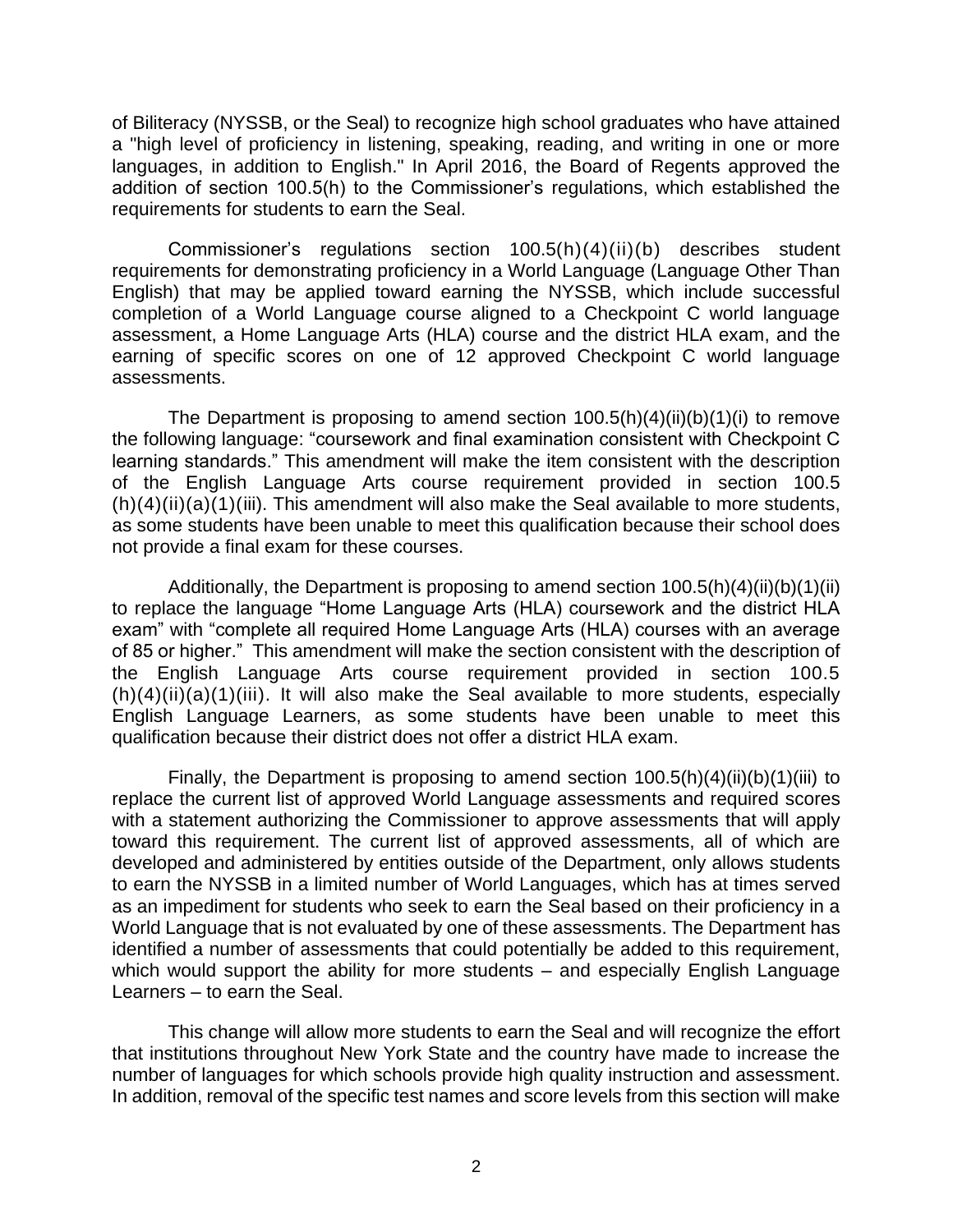a "high level of proficiency in listening, speaking, reading, and writing in one or more languages, in addition to English." In April 2016, the Board of Regents approved the of Biliteracy (NYSSB, or the Seal) to recognize high school graduates who have attained addition of section 100.5(h) to the Commissioner's regulations, which established the requirements for students to earn the Seal.

 completion of a World Language course aligned to a Checkpoint C world language assessment, a Home Language Arts (HLA) course and the district HLA exam, and the Commissioner's regulations section 100.5(h)(4)(ii)(b) describes student requirements for demonstrating proficiency in a World Language (Language Other Than English) that may be applied toward earning the NYSSB, which include successful earning of specific scores on one of 12 approved Checkpoint C world language assessments.

 the following language: "coursework and final examination consistent with Checkpoint C The Department is proposing to amend section  $100.5(h)(4)(ii)(b)(1)(i)$  to remove learning standards." This amendment will make the item consistent with the description of the English Language Arts course requirement provided in section 100.5  $(h)(4)(ii)(a)(1)(iii)$ . This amendment will also make the Seal available to more students, as some students have been unable to meet this qualification because their school does not provide a final exam for these courses.

 of 85 or higher." This amendment will make the section consistent with the description of  $(h)(4)(ii)(a)(1)(iii)$ . It will also make the Seal available to more students, especially Additionally, the Department is proposing to amend section  $100.5(h)(4)(ii)(b)(1)(ii)$ to replace the language "Home Language Arts (HLA) coursework and the district HLA exam" with "complete all required Home Language Arts (HLA) courses with an average the English Language Arts course requirement provided in section 100.5 English Language Learners, as some students have been unable to meet this qualification because their district does not offer a district HLA exam.

 replace the current list of approved World Language assessments and required scores toward this requirement. The current list of approved assessments, all of which are Finally, the Department is proposing to amend section  $100.5(h)(4)(ii)(b)(1)(iii)$  to with a statement authorizing the Commissioner to approve assessments that will apply developed and administered by entities outside of the Department, only allows students to earn the NYSSB in a limited number of World Languages, which has at times served as an impediment for students who seek to earn the Seal based on their proficiency in a World Language that is not evaluated by one of these assessments. The Department has identified a number of assessments that could potentially be added to this requirement, which would support the ability for more students – and especially English Language Learners – to earn the Seal.

 that institutions throughout New York State and the country have made to increase the In addition, removal of the specific test names and score levels from this section will make This change will allow more students to earn the Seal and will recognize the effort number of languages for which schools provide high quality instruction and assessment.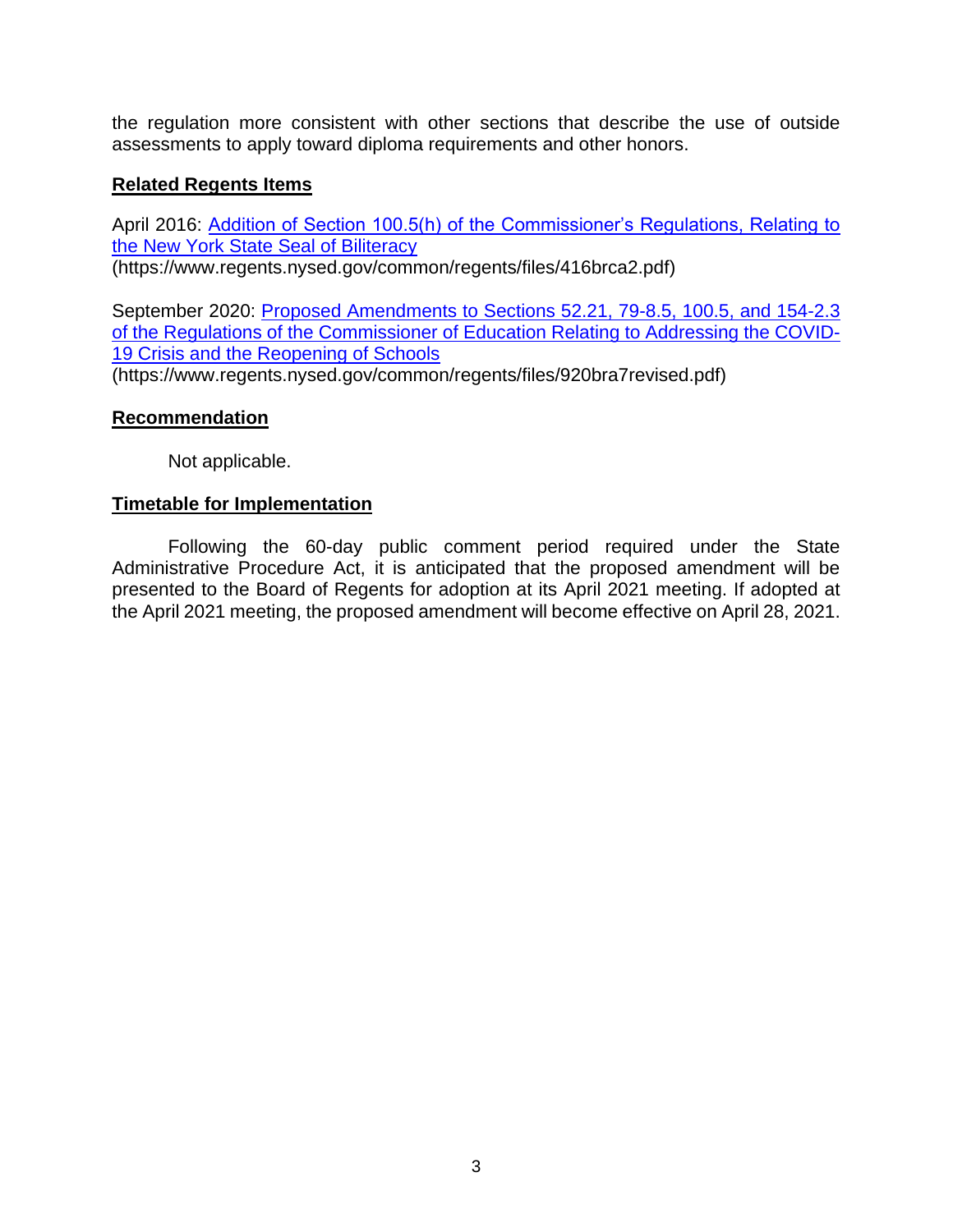the regulation more consistent with other sections that describe the use of outside assessments to apply toward diploma requirements and other honors.

## **Related Regents Items**

April 2016: Addition of Section 100.5(h) of [the Commissioner's Regulations, Relating](https://www.regents.nysed.gov/common/regents/files/416brca2.pdf) to the New York State Seal of Biliteracy (https://www.regents.nysed.gov/common/regents/files/416brca2.pdf)

 [of the Regulations of the Commissioner of Education Relating to Addressing the COVID-](https://www.regents.nysed.gov/common/regents/files/920bra7revised.pdf)September 2020: [Proposed Amendments to Sections 52.21, 79-8.5, 100.5, and 154-2.3](https://www.regents.nysed.gov/common/regents/files/920bra7revised.pdf)  19 Crisis and the Reopening of Schools (https://www.regents.nysed.gov/common/regents/files/920bra7revised.pdf)

## **Recommendation**

Not applicable.

## **Timetable for Implementation**

 Administrative Procedure Act, it is anticipated that the proposed amendment will be Following the 60-day public comment period required under the State presented to the Board of Regents for adoption at its April 2021 meeting. If adopted at the April 2021 meeting, the proposed amendment will become effective on April 28, 2021.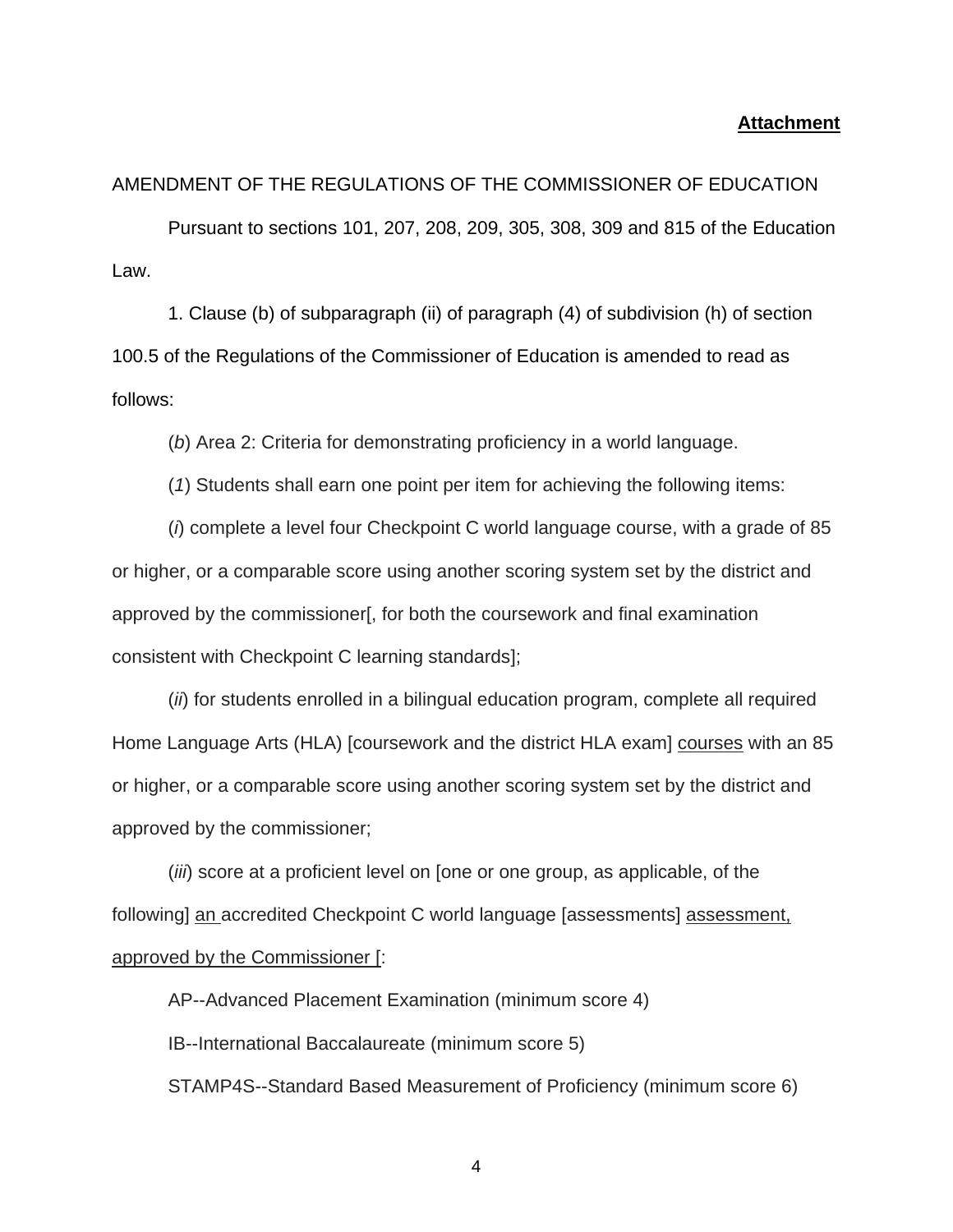### **Attachment**

### AMENDMENT OF THE REGULATIONS OF THE COMMISSIONER OF EDUCATION

Pursuant to sections 101, 207, 208, 209, 305, 308, 309 and 815 of the Education Law.

1. Clause (b) of subparagraph (ii) of paragraph (4) of subdivision (h) of section 100.5 of the Regulations of the Commissioner of Education is amended to read as follows:

(*b*) Area 2: Criteria for demonstrating proficiency in a world language.

(*1*) Students shall earn one point per item for achieving the following items:

(*i*) complete a level four Checkpoint C world language course, with a grade of 85 or higher, or a comparable score using another scoring system set by the district and approved by the commissioner[, for both the coursework and final examination consistent with Checkpoint C learning standards];

(*ii*) for students enrolled in a bilingual education program, complete all required Home Language Arts (HLA) [coursework and the district HLA exam] courses with an 85 or higher, or a comparable score using another scoring system set by the district and approved by the commissioner;

(*iii*) score at a proficient level on [one or one group, as applicable, of the following] an accredited Checkpoint C world language [assessments] assessment, approved by the Commissioner [:

AP--Advanced Placement Examination (minimum score 4)

IB--International Baccalaureate (minimum score 5)

STAMP4S--Standard Based Measurement of Proficiency (minimum score 6)

4